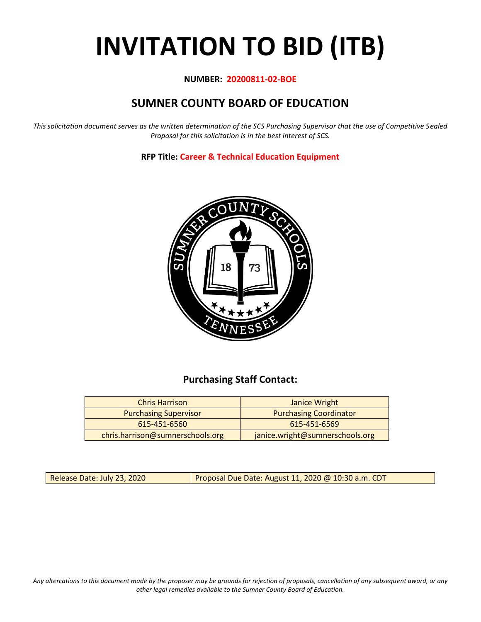# **INVITATION TO BID (ITB)**

## **NUMBER: 20200811-02-BOE**

# **SUMNER COUNTY BOARD OF EDUCATION**

*This solicitation document serves as the written determination of the SCS Purchasing Supervisor that the use of Competitive Sealed Proposal for this solicitation is in the best interest of SCS.*

**RFP Title: Career & Technical Education Equipment**



## **Purchasing Staff Contact:**

| <b>Chris Harrison</b>            | Janice Wright                   |
|----------------------------------|---------------------------------|
| <b>Purchasing Supervisor</b>     | <b>Purchasing Coordinator</b>   |
| 615-451-6560                     | 615-451-6569                    |
| chris.harrison@sumnerschools.org | janice.wright@sumnerschools.org |

Release Date: July 23, 2020 | Proposal Due Date: August 11, 2020 @ 10:30 a.m. CDT

*Any altercations to this document made by the proposer may be grounds for rejection of proposals, cancellation of any subsequent award, or any other legal remedies available to the Sumner County Board of Education.*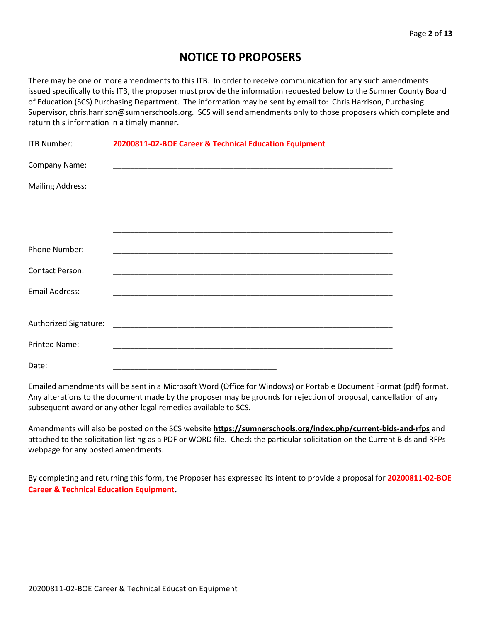# **NOTICE TO PROPOSERS**

There may be one or more amendments to this ITB. In order to receive communication for any such amendments issued specifically to this ITB, the proposer must provide the information requested below to the Sumner County Board of Education (SCS) Purchasing Department. The information may be sent by email to: Chris Harrison, Purchasing Supervisor, chris.harrison@sumnerschools.org. SCS will send amendments only to those proposers which complete and return this information in a timely manner.

| <b>ITB Number:</b>      | 20200811-02-BOE Career & Technical Education Equipment                                                              |  |  |
|-------------------------|---------------------------------------------------------------------------------------------------------------------|--|--|
| Company Name:           | <u> 1989 - 1989 - 1989 - 1989 - 1989 - 1989 - 1989 - 1989 - 1989 - 1989 - 1989 - 1989 - 1989 - 1989 - 1989 - 19</u> |  |  |
| <b>Mailing Address:</b> |                                                                                                                     |  |  |
|                         |                                                                                                                     |  |  |
|                         |                                                                                                                     |  |  |
| Phone Number:           |                                                                                                                     |  |  |
| <b>Contact Person:</b>  |                                                                                                                     |  |  |
| <b>Email Address:</b>   |                                                                                                                     |  |  |
|                         |                                                                                                                     |  |  |
|                         |                                                                                                                     |  |  |
| <b>Printed Name:</b>    |                                                                                                                     |  |  |
| Date:                   |                                                                                                                     |  |  |

Emailed amendments will be sent in a Microsoft Word (Office for Windows) or Portable Document Format (pdf) format. Any alterations to the document made by the proposer may be grounds for rejection of proposal, cancellation of any subsequent award or any other legal remedies available to SCS.

Amendments will also be posted on the SCS website **https://sumnerschools.org/index.php/current-bids-and-rfps** and attached to the solicitation listing as a PDF or WORD file. Check the particular solicitation on the Current Bids and RFPs webpage for any posted amendments.

By completing and returning this form, the Proposer has expressed its intent to provide a proposal for **20200811-02-BOE Career & Technical Education Equipment.**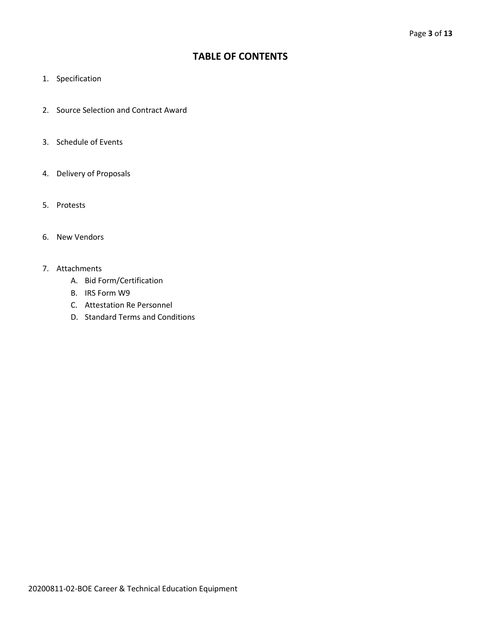## **TABLE OF CONTENTS**

- 1. Specification
- 2. Source Selection and Contract Award
- 3. Schedule of Events
- 4. Delivery of Proposals
- 5. Protests
- 6. New Vendors
- 7. Attachments
	- A. Bid Form/Certification
	- B. IRS Form W9
	- C. Attestation Re Personnel
	- D. Standard Terms and Conditions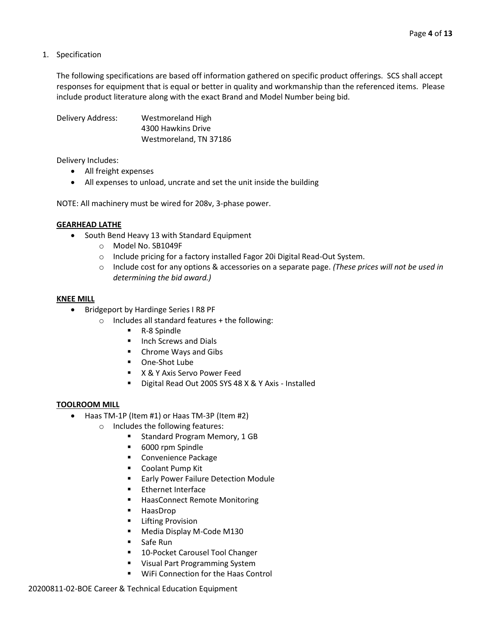1. Specification

The following specifications are based off information gathered on specific product offerings. SCS shall accept responses for equipment that is equal or better in quality and workmanship than the referenced items. Please include product literature along with the exact Brand and Model Number being bid.

Delivery Address: Westmoreland High 4300 Hawkins Drive Westmoreland, TN 37186

Delivery Includes:

- All freight expenses
- All expenses to unload, uncrate and set the unit inside the building

NOTE: All machinery must be wired for 208v, 3-phase power.

#### **GEARHEAD LATHE**

- South Bend Heavy 13 with Standard Equipment
	- o Model No. SB1049F
	- o Include pricing for a factory installed Fagor 20i Digital Read-Out System.
	- o Include cost for any options & accessories on a separate page. *(These prices will not be used in determining the bid award.)*

#### **KNEE MILL**

- Bridgeport by Hardinge Series I R8 PF
	- $\circ$  Includes all standard features + the following:
		- R-8 Spindle
		- Inch Screws and Dials
		- Chrome Ways and Gibs
		- One-Shot Lube
		- X & Y Axis Servo Power Feed
		- Digital Read Out 200S SYS 48 X & Y Axis Installed

#### **TOOLROOM MILL**

- Haas TM-1P (Item #1) or Haas TM-3P (Item #2)
	- o Includes the following features:
		- Standard Program Memory, 1 GB
		- 6000 rpm Spindle
		- Convenience Package
		- Coolant Pump Kit
		- Early Power Failure Detection Module
		- **Ethernet Interface**
		- HaasConnect Remote Monitoring
		- HaasDrop
		- Lifting Provision
		- Media Display M-Code M130
		- Safe Run
		- 10-Pocket Carousel Tool Changer
		- Visual Part Programming System
		- WiFi Connection for the Haas Control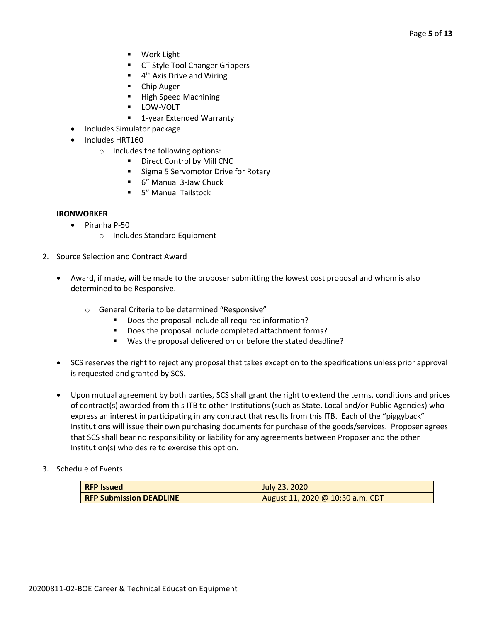- Work Light
- CT Style Tool Changer Grippers
- $\blacksquare$  4<sup>th</sup> Axis Drive and Wiring
- Chip Auger
- High Speed Machining
- LOW-VOLT
- 1-year Extended Warranty
- Includes Simulator package
- Includes HRT160
	- o Includes the following options:
		- Direct Control by Mill CNC
		- Sigma 5 Servomotor Drive for Rotary
		- 6" Manual 3-Jaw Chuck
		- 5" Manual Tailstock

#### **IRONWORKER**

- Piranha P-50
	- o Includes Standard Equipment
- 2. Source Selection and Contract Award
	- Award, if made, will be made to the proposer submitting the lowest cost proposal and whom is also determined to be Responsive.
		- o General Criteria to be determined "Responsive"
			- Does the proposal include all required information?
			- Does the proposal include completed attachment forms?
			- Was the proposal delivered on or before the stated deadline?
	- SCS reserves the right to reject any proposal that takes exception to the specifications unless prior approval is requested and granted by SCS.
	- Upon mutual agreement by both parties, SCS shall grant the right to extend the terms, conditions and prices of contract(s) awarded from this ITB to other Institutions (such as State, Local and/or Public Agencies) who express an interest in participating in any contract that results from this ITB. Each of the "piggyback" Institutions will issue their own purchasing documents for purchase of the goods/services. Proposer agrees that SCS shall bear no responsibility or liability for any agreements between Proposer and the other Institution(s) who desire to exercise this option.
- 3. Schedule of Events

| <b>RFP Issued</b>              | July 23, 2020                    |
|--------------------------------|----------------------------------|
| <b>RFP Submission DEADLINE</b> | August 11, 2020 @ 10:30 a.m. CDT |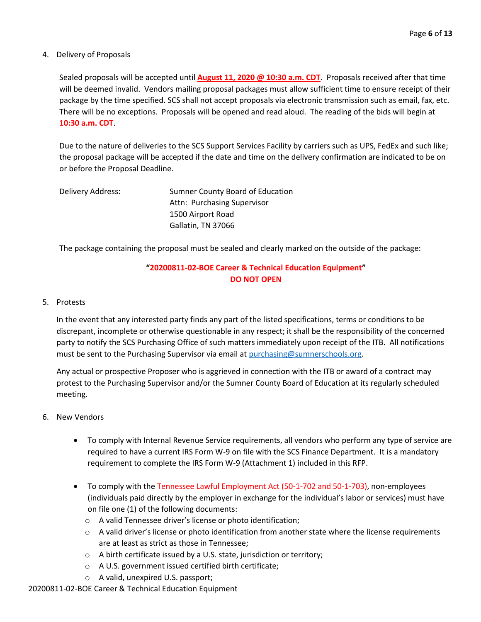### 4. Delivery of Proposals

Sealed proposals will be accepted until **August 11, 2020 @ 10:30 a.m. CDT**. Proposals received after that time will be deemed invalid. Vendors mailing proposal packages must allow sufficient time to ensure receipt of their package by the time specified. SCS shall not accept proposals via electronic transmission such as email, fax, etc. There will be no exceptions. Proposals will be opened and read aloud. The reading of the bids will begin at **10:30 a.m. CDT**.

Due to the nature of deliveries to the SCS Support Services Facility by carriers such as UPS, FedEx and such like; the proposal package will be accepted if the date and time on the delivery confirmation are indicated to be on or before the Proposal Deadline.

| Delivery Address: | Sumner County Board of Education |
|-------------------|----------------------------------|
|                   | Attn: Purchasing Supervisor      |
|                   | 1500 Airport Road                |
|                   | Gallatin, TN 37066               |

The package containing the proposal must be sealed and clearly marked on the outside of the package:

## **"20200811-02-BOE Career & Technical Education Equipment" DO NOT OPEN**

#### 5. Protests

In the event that any interested party finds any part of the listed specifications, terms or conditions to be discrepant, incomplete or otherwise questionable in any respect; it shall be the responsibility of the concerned party to notify the SCS Purchasing Office of such matters immediately upon receipt of the ITB. All notifications must be sent to the Purchasing Supervisor via email at [purchasing@sumnerschools.org.](mailto:purchasing@sumnerschools.org)

Any actual or prospective Proposer who is aggrieved in connection with the ITB or award of a contract may protest to the Purchasing Supervisor and/or the Sumner County Board of Education at its regularly scheduled meeting.

- 6. New Vendors
	- To comply with Internal Revenue Service requirements, all vendors who perform any type of service are required to have a current IRS Form W-9 on file with the SCS Finance Department. It is a mandatory requirement to complete the IRS Form W-9 (Attachment 1) included in this RFP.
	- To comply with the Tennessee Lawful Employment Act (50-1-702 and 50-1-703), non-employees (individuals paid directly by the employer in exchange for the individual's labor or services) must have on file one (1) of the following documents:
		- o A valid Tennessee driver's license or photo identification;
		- $\circ$  A valid driver's license or photo identification from another state where the license requirements are at least as strict as those in Tennessee;
		- o A birth certificate issued by a U.S. state, jurisdiction or territory;
		- o A U.S. government issued certified birth certificate;
		- o A valid, unexpired U.S. passport;

20200811-02-BOE Career & Technical Education Equipment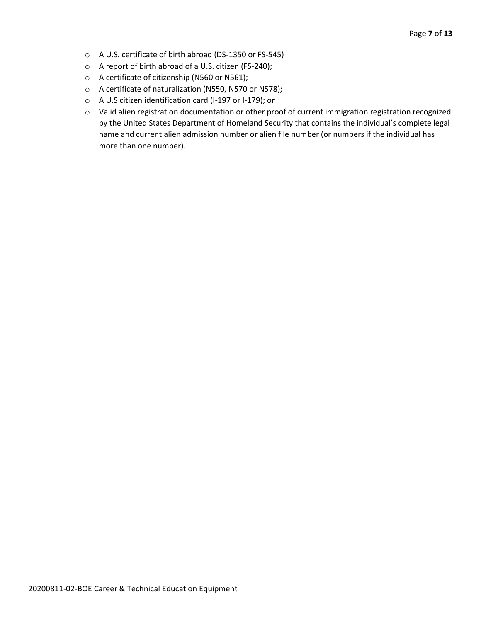- o A U.S. certificate of birth abroad (DS-1350 or FS-545)
- o A report of birth abroad of a U.S. citizen (FS-240);
- o A certificate of citizenship (N560 or N561);
- o A certificate of naturalization (N550, N570 or N578);
- o A U.S citizen identification card (I-197 or I-179); or
- o Valid alien registration documentation or other proof of current immigration registration recognized by the United States Department of Homeland Security that contains the individual's complete legal name and current alien admission number or alien file number (or numbers if the individual has more than one number).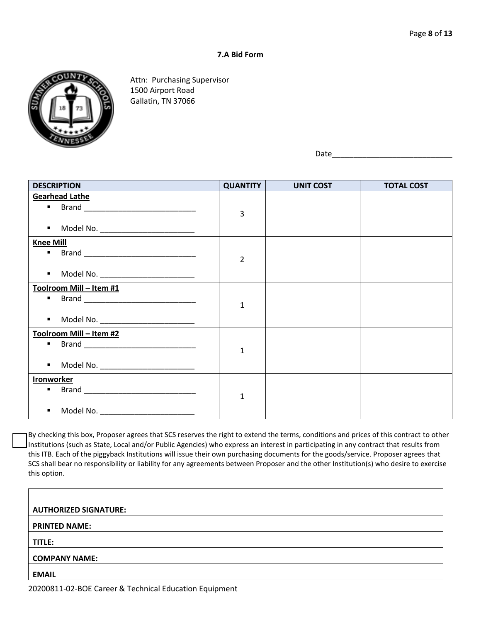### **7.A Bid Form**



Attn: Purchasing Supervisor 1500 Airport Road Gallatin, TN 37066

Date

| <b>DESCRIPTION</b>                                                                                                              | <b>QUANTITY</b> | <b>UNIT COST</b> | <b>TOTAL COST</b> |
|---------------------------------------------------------------------------------------------------------------------------------|-----------------|------------------|-------------------|
| <b>Gearhead Lathe</b><br><b>Brand</b> ______________________________<br>Model No. ___________________________<br>$\blacksquare$ | 3               |                  |                   |
| <b>Knee Mill</b><br>$\blacksquare$<br>Model No. ____________________________<br>$\blacksquare$                                  | $\overline{2}$  |                  |                   |
| Toolroom Mill - Item #1<br>■ Brand <u>_____________________________</u><br>Model No. __________________________<br>٠            | $\mathbf{1}$    |                  |                   |
| Toolroom Mill - Item #2<br>Model No. _________________________<br>$\blacksquare$                                                | $\mathbf{1}$    |                  |                   |
| <b>Ironworker</b><br>$\blacksquare$<br>Model No. __________________________<br>$\blacksquare$                                   | $\mathbf{1}$    |                  |                   |

By checking this box, Proposer agrees that SCS reserves the right to extend the terms, conditions and prices of this contract to other Institutions (such as State, Local and/or Public Agencies) who express an interest in participating in any contract that results from this ITB. Each of the piggyback Institutions will issue their own purchasing documents for the goods/service. Proposer agrees that SCS shall bear no responsibility or liability for any agreements between Proposer and the other Institution(s) who desire to exercise this option.

| <b>AUTHORIZED SIGNATURE:</b> |  |
|------------------------------|--|
| <b>PRINTED NAME:</b>         |  |
| TITLE:                       |  |
| <b>COMPANY NAME:</b>         |  |
| <b>EMAIL</b>                 |  |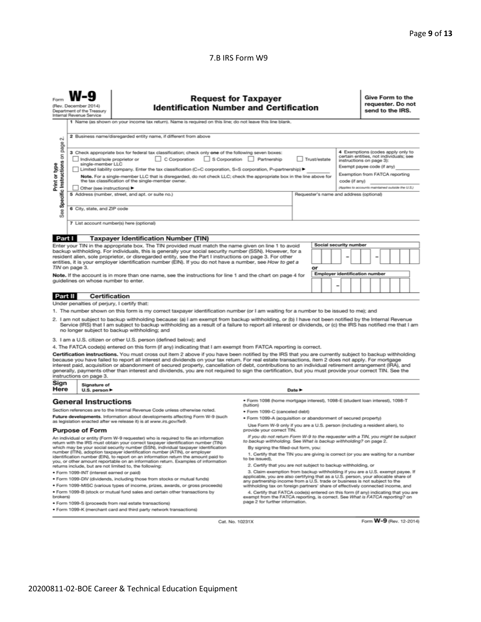### 7.B IRS Form W9

|                                                                                                                                                                                                                                                                                                                                                                                                                                                                                                                                                                                                                                                                                                                                                                                                                                                                                                                                                                                                                                                                                              | <b>Request for Taxpayer</b><br>(Rev. December 2014)<br><b>Identification Number and Certification</b><br>Department of the Treasury<br>Internal Revenue Service<br>1 Name (as shown on your income tax return). Name is required on this line; do not leave this line blank. |                                                                                                                                                                                                                                                                                                                                                                                                                                                                                                                                                                                                                                                                                                                                                                                                                                                                                                                                                                                                                                                                                                                                                                                                |                                                                                                                                                                                                                                                                                                                                                                                                                                                                                                                                                                                                                                                                                                                                                                                                                                                                                                                                                                                                                                                                                                                                                                                                                                     |                                         |  | Give Form to the<br>requester. Do not<br>send to the IRS.          |                         |  |  |  |
|----------------------------------------------------------------------------------------------------------------------------------------------------------------------------------------------------------------------------------------------------------------------------------------------------------------------------------------------------------------------------------------------------------------------------------------------------------------------------------------------------------------------------------------------------------------------------------------------------------------------------------------------------------------------------------------------------------------------------------------------------------------------------------------------------------------------------------------------------------------------------------------------------------------------------------------------------------------------------------------------------------------------------------------------------------------------------------------------|------------------------------------------------------------------------------------------------------------------------------------------------------------------------------------------------------------------------------------------------------------------------------|------------------------------------------------------------------------------------------------------------------------------------------------------------------------------------------------------------------------------------------------------------------------------------------------------------------------------------------------------------------------------------------------------------------------------------------------------------------------------------------------------------------------------------------------------------------------------------------------------------------------------------------------------------------------------------------------------------------------------------------------------------------------------------------------------------------------------------------------------------------------------------------------------------------------------------------------------------------------------------------------------------------------------------------------------------------------------------------------------------------------------------------------------------------------------------------------|-------------------------------------------------------------------------------------------------------------------------------------------------------------------------------------------------------------------------------------------------------------------------------------------------------------------------------------------------------------------------------------------------------------------------------------------------------------------------------------------------------------------------------------------------------------------------------------------------------------------------------------------------------------------------------------------------------------------------------------------------------------------------------------------------------------------------------------------------------------------------------------------------------------------------------------------------------------------------------------------------------------------------------------------------------------------------------------------------------------------------------------------------------------------------------------------------------------------------------------|-----------------------------------------|--|--------------------------------------------------------------------|-------------------------|--|--|--|
| 2 Business name/disregarded entity name, if different from above<br>οi<br>Specific Instructions on page<br>4 Exemptions (codes apply only to<br>3 Check appropriate box for federal tax classification; check only one of the following seven boxes:<br>certain entities, not individuals; see<br>C Corporation<br>$\Box$ S Corporation<br>Partnership<br>Trust/estate<br>Individual/sole proprietor or<br>instructions on page 3):<br>Print or type<br>single-member LLC<br>Exempt payee code (if any)<br>  Limited liability company. Enter the tax classification (C=C corporation, S=S corporation, P=partnership) ▶<br>Exemption from FATCA reporting<br>Note. For a single-member LLC that is disregarded, do not check LLC; check the appropriate box in the line above for                                                                                                                                                                                                                                                                                                           |                                                                                                                                                                                                                                                                              |                                                                                                                                                                                                                                                                                                                                                                                                                                                                                                                                                                                                                                                                                                                                                                                                                                                                                                                                                                                                                                                                                                                                                                                                |                                                                                                                                                                                                                                                                                                                                                                                                                                                                                                                                                                                                                                                                                                                                                                                                                                                                                                                                                                                                                                                                                                                                                                                                                                     |                                         |  |                                                                    |                         |  |  |  |
| See                                                                                                                                                                                                                                                                                                                                                                                                                                                                                                                                                                                                                                                                                                                                                                                                                                                                                                                                                                                                                                                                                          | Other (see instructions) ▶<br>6 City, state, and ZIP code                                                                                                                                                                                                                    | the tax classification of the single-member owner.<br>5 Address (number, street, and apt. or suite no.)<br>7 List account number(s) here (optional)                                                                                                                                                                                                                                                                                                                                                                                                                                                                                                                                                                                                                                                                                                                                                                                                                                                                                                                                                                                                                                            |                                                                                                                                                                                                                                                                                                                                                                                                                                                                                                                                                                                                                                                                                                                                                                                                                                                                                                                                                                                                                                                                                                                                                                                                                                     | Requester's name and address (optional) |  | code (if any)<br>(Applies to accounts maintained outside the U.S.) |                         |  |  |  |
| Part I<br><b>Taxpayer Identification Number (TIN)</b><br>Social security number<br>Enter your TIN in the appropriate box. The TIN provided must match the name given on line 1 to avoid<br>backup withholding. For individuals, this is generally your social security number (SSN). However, for a<br>resident alien, sole proprietor, or disregarded entity, see the Part I instructions on page 3. For other<br>entities, it is your employer identification number (EIN). If you do not have a number, see How to get a<br>TIN on page 3.<br>or<br><b>Employer identification number</b><br>Note. If the account is in more than one name, see the instructions for line 1 and the chart on page 4 for<br>guidelines on whose number to enter.<br>-                                                                                                                                                                                                                                                                                                                                      |                                                                                                                                                                                                                                                                              |                                                                                                                                                                                                                                                                                                                                                                                                                                                                                                                                                                                                                                                                                                                                                                                                                                                                                                                                                                                                                                                                                                                                                                                                |                                                                                                                                                                                                                                                                                                                                                                                                                                                                                                                                                                                                                                                                                                                                                                                                                                                                                                                                                                                                                                                                                                                                                                                                                                     |                                         |  |                                                                    |                         |  |  |  |
| Part II<br>Certification<br>Under penalties of perjury, I certify that:<br>1. The number shown on this form is my correct taxpayer identification number (or I am waiting for a number to be issued to me); and<br>2. I am not subject to backup withholding because: (a) I am exempt from backup withholding, or (b) I have not been notified by the Internal Revenue<br>Service (IRS) that I am subject to backup withholding as a result of a failure to report all interest or dividends, or (c) the IRS has notified me that I am<br>no longer subject to backup withholding; and<br>3. I am a U.S. citizen or other U.S. person (defined below); and<br>4. The FATCA code(s) entered on this form (if any) indicating that I am exempt from FATCA reporting is correct.<br>Certification instructions. You must cross out item 2 above if you have been notified by the IRS that you are currently subject to backup withholding<br>because you have failed to report all interest and dividends on your tax return. For real estate transactions, item 2 does not apply. For mortgage |                                                                                                                                                                                                                                                                              |                                                                                                                                                                                                                                                                                                                                                                                                                                                                                                                                                                                                                                                                                                                                                                                                                                                                                                                                                                                                                                                                                                                                                                                                |                                                                                                                                                                                                                                                                                                                                                                                                                                                                                                                                                                                                                                                                                                                                                                                                                                                                                                                                                                                                                                                                                                                                                                                                                                     |                                         |  |                                                                    |                         |  |  |  |
| interest paid, acquisition or abandonment of secured property, cancellation of debt, contributions to an individual retirement arrangement (IRA), and<br>generally, payments other than interest and dividends, you are not required to sign the certification, but you must provide your correct TIN. See the<br>instructions on page 3.<br>Sign<br>Signature of<br>Here<br>U.S. person $\blacktriangleright$<br>Date P                                                                                                                                                                                                                                                                                                                                                                                                                                                                                                                                                                                                                                                                     |                                                                                                                                                                                                                                                                              |                                                                                                                                                                                                                                                                                                                                                                                                                                                                                                                                                                                                                                                                                                                                                                                                                                                                                                                                                                                                                                                                                                                                                                                                |                                                                                                                                                                                                                                                                                                                                                                                                                                                                                                                                                                                                                                                                                                                                                                                                                                                                                                                                                                                                                                                                                                                                                                                                                                     |                                         |  |                                                                    |                         |  |  |  |
| brokers)                                                                                                                                                                                                                                                                                                                                                                                                                                                                                                                                                                                                                                                                                                                                                                                                                                                                                                                                                                                                                                                                                     | <b>General Instructions</b><br><b>Purpose of Form</b><br>· Form 1099-INT (interest earned or paid)                                                                                                                                                                           | Section references are to the Internal Revenue Code unless otherwise noted.<br>Future developments. Information about developments affecting Form W-9 (such<br>as legislation enacted after we release it) is at www.irs.gov/fw9.<br>An individual or entity (Form W-9 requester) who is required to file an inform<br>return with the IRS must obtain your correct taxpayer identification number (TIN)<br>which may be your social security number (SSN), individual taxpayer identification<br>number (ITIN), adoption taxpayer identification number (ATIN), or employer<br>identification number (EIN), to report on an information return the amount paid to<br>you, or other amount reportable on an information return. Examples of information<br>returns include, but are not limited to, the following:<br>. Form 1099-DIV (dividends, including those from stocks or mutual funds)<br>* Form 1099-MISC (various types of income, prizes, awards, or gross proceeds)<br>. Form 1099-B (stock or mutual fund sales and certain other transactions by<br>· Form 1099-S (proceeds from real estate transactions)<br>. Form 1099-K (merchant card and third party network transactions) | ● Form 1098 (home mortgage interest), 1098-E (student loan interest), 1098-T<br>(tuition)<br>· Form 1099-C (canceled debt)<br>· Form 1099-A (acquisition or abandonment of secured property)<br>Use Form W-9 only if you are a U.S. person (including a resident alien), to<br>provide your correct TIN.<br>If you do not return Form W-9 to the requester with a TIN, you might be subject<br>to backup withholding. See What is backup withholding? on page 2.<br>By signing the filled-out form, you:<br>1. Certify that the TIN you are giving is correct (or you are waiting for a number<br>to be issued).<br>2. Certify that you are not subject to backup withholding, or<br>3. Claim exemption from backup withholding if you are a U.S. exempt payee. If<br>applicable, you are also certifying that as a U.S. person, your allocable share of<br>any partnership income from a U.S. trade or business is not subject to the<br>withholding tax on foreign partners' share of effectively connected income, and<br>4. Certify that FATCA code(s) entered on this form (if any) indicating that you are<br>exempt from the FATCA reporting, is correct. See What is FATCA reporting? on<br>page 2 for further information. |                                         |  |                                                                    |                         |  |  |  |
|                                                                                                                                                                                                                                                                                                                                                                                                                                                                                                                                                                                                                                                                                                                                                                                                                                                                                                                                                                                                                                                                                              |                                                                                                                                                                                                                                                                              | Cat. No. 10231X                                                                                                                                                                                                                                                                                                                                                                                                                                                                                                                                                                                                                                                                                                                                                                                                                                                                                                                                                                                                                                                                                                                                                                                |                                                                                                                                                                                                                                                                                                                                                                                                                                                                                                                                                                                                                                                                                                                                                                                                                                                                                                                                                                                                                                                                                                                                                                                                                                     |                                         |  |                                                                    | Form W-9 (Rev. 12-2014) |  |  |  |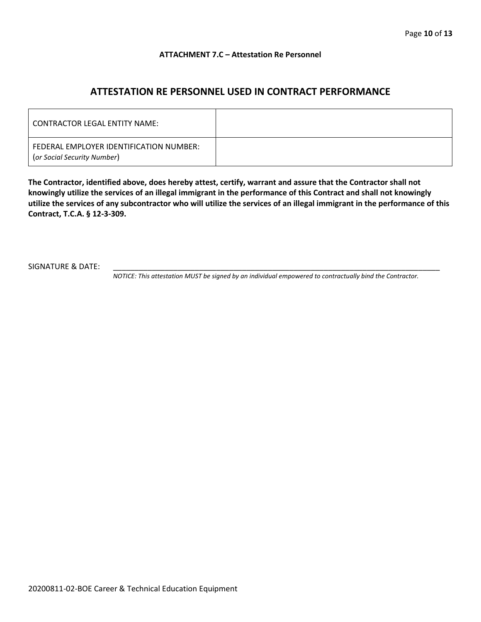#### **ATTACHMENT 7.C – Attestation Re Personnel**

## **ATTESTATION RE PERSONNEL USED IN CONTRACT PERFORMANCE**

| CONTRACTOR LEGAL ENTITY NAME:                                          |  |
|------------------------------------------------------------------------|--|
| FEDERAL EMPLOYER IDENTIFICATION NUMBER:<br>(or Social Security Number) |  |

**The Contractor, identified above, does hereby attest, certify, warrant and assure that the Contractor shall not knowingly utilize the services of an illegal immigrant in the performance of this Contract and shall not knowingly utilize the services of any subcontractor who will utilize the services of an illegal immigrant in the performance of this Contract, T.C.A. § 12-3-309.**

SIGNATURE & DATE:

*NOTICE: This attestation MUST be signed by an individual empowered to contractually bind the Contractor.*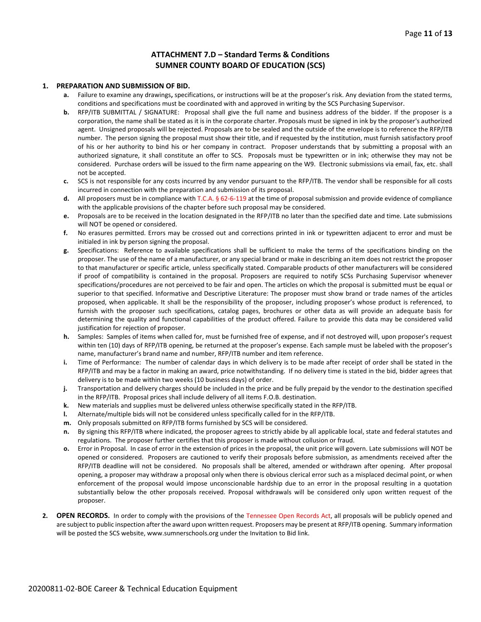#### **ATTACHMENT 7.D – Standard Terms & Conditions SUMNER COUNTY BOARD OF EDUCATION (SCS)**

#### **1. PREPARATION AND SUBMISSION OF BID.**

- **a.** Failure to examine any drawings**,** specifications, or instructions will be at the proposer's risk. Any deviation from the stated terms, conditions and specifications must be coordinated with and approved in writing by the SCS Purchasing Supervisor.
- **b.** RFP/ITB SUBMITTAL / SIGNATURE: Proposal shall give the full name and business address of the bidder. If the proposer is a corporation, the name shall be stated as it is in the corporate charter. Proposals must be signed in ink by the proposer's authorized agent. Unsigned proposals will be rejected. Proposals are to be sealed and the outside of the envelope is to reference the RFP/ITB number. The person signing the proposal must show their title, and if requested by the institution, must furnish satisfactory proof of his or her authority to bind his or her company in contract. Proposer understands that by submitting a proposal with an authorized signature, it shall constitute an offer to SCS. Proposals must be typewritten or in ink; otherwise they may not be considered. Purchase orders will be issued to the firm name appearing on the W9. Electronic submissions via email, fax, etc. shall not be accepted.
- **c.** SCS is not responsible for any costs incurred by any vendor pursuant to the RFP/ITB. The vendor shall be responsible for all costs incurred in connection with the preparation and submission of its proposal.
- **d.** All proposers must be in compliance with T.C.A. § 62-6-119 at the time of proposal submission and provide evidence of compliance with the applicable provisions of the chapter before such proposal may be considered.
- **e.** Proposals are to be received in the location designated in the RFP/ITB no later than the specified date and time. Late submissions will NOT be opened or considered.
- **f.** No erasures permitted. Errors may be crossed out and corrections printed in ink or typewritten adjacent to error and must be initialed in ink by person signing the proposal.
- **g.** Specifications: Reference to available specifications shall be sufficient to make the terms of the specifications binding on the proposer. The use of the name of a manufacturer, or any special brand or make in describing an item does not restrict the proposer to that manufacturer or specific article, unless specifically stated. Comparable products of other manufacturers will be considered if proof of compatibility is contained in the proposal. Proposers are required to notify SCSs Purchasing Supervisor whenever specifications/procedures are not perceived to be fair and open. The articles on which the proposal is submitted must be equal or superior to that specified. Informative and Descriptive Literature: The proposer must show brand or trade names of the articles proposed, when applicable. It shall be the responsibility of the proposer, including proposer's whose product is referenced, to furnish with the proposer such specifications, catalog pages, brochures or other data as will provide an adequate basis for determining the quality and functional capabilities of the product offered. Failure to provide this data may be considered valid justification for rejection of proposer.
- **h.** Samples: Samples of items when called for, must be furnished free of expense, and if not destroyed will, upon proposer's request within ten (10) days of RFP/ITB opening, be returned at the proposer's expense. Each sample must be labeled with the proposer's name, manufacturer's brand name and number, RFP/ITB number and item reference.
- **i.** Time of Performance: The number of calendar days in which delivery is to be made after receipt of order shall be stated in the RFP/ITB and may be a factor in making an award, price notwithstanding. If no delivery time is stated in the bid, bidder agrees that delivery is to be made within two weeks (10 business days) of order.
- **j.** Transportation and delivery charges should be included in the price and be fully prepaid by the vendor to the destination specified in the RFP/ITB. Proposal prices shall include delivery of all items F.O.B. destination.
- **k.** New materials and supplies must be delivered unless otherwise specifically stated in the RFP/ITB.
- **l.** Alternate/multiple bids will not be considered unless specifically called for in the RFP/ITB.
- **m.** Only proposals submitted on RFP/ITB forms furnished by SCS will be considered.
- **n.** By signing this RFP/ITB where indicated, the proposer agrees to strictly abide by all applicable local, state and federal statutes and regulations. The proposer further certifies that this proposer is made without collusion or fraud.
- **o.** Error in Proposal. In case of error in the extension of prices in the proposal, the unit price will govern. Late submissions will NOT be opened or considered. Proposers are cautioned to verify their proposals before submission, as amendments received after the RFP/ITB deadline will not be considered. No proposals shall be altered, amended or withdrawn after opening. After proposal opening, a proposer may withdraw a proposal only when there is obvious clerical error such as a misplaced decimal point, or when enforcement of the proposal would impose unconscionable hardship due to an error in the proposal resulting in a quotation substantially below the other proposals received. Proposal withdrawals will be considered only upon written request of the proposer.
- **2. OPEN RECORDS.** In order to comply with the provisions of the Tennessee Open Records Act, all proposals will be publicly opened and are subject to public inspection after the award upon written request. Proposers may be present at RFP/ITB opening. Summary information will be posted the SCS website, www.sumnerschools.org under the Invitation to Bid link.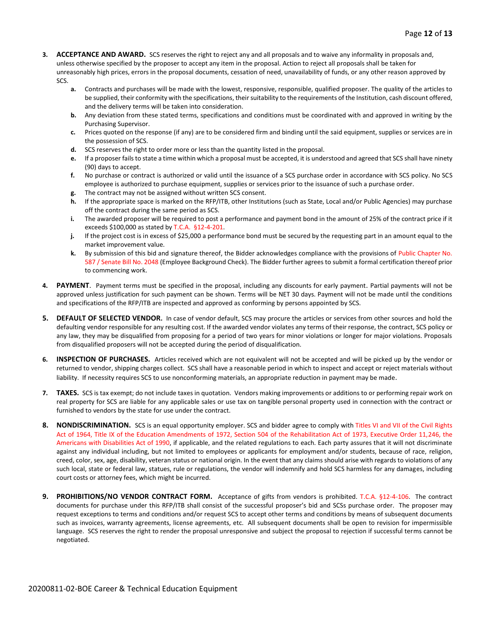- **3. ACCEPTANCE AND AWARD.** SCS reserves the right to reject any and all proposals and to waive any informality in proposals and, unless otherwise specified by the proposer to accept any item in the proposal. Action to reject all proposals shall be taken for unreasonably high prices, errors in the proposal documents, cessation of need, unavailability of funds, or any other reason approved by SCS.
	- **a.** Contracts and purchases will be made with the lowest, responsive, responsible, qualified proposer. The quality of the articles to be supplied, their conformity with the specifications, their suitability to the requirements of the Institution, cash discount offered, and the delivery terms will be taken into consideration.
	- **b.** Any deviation from these stated terms, specifications and conditions must be coordinated with and approved in writing by the Purchasing Supervisor.
	- **c.** Prices quoted on the response (if any) are to be considered firm and binding until the said equipment, supplies or services are in the possession of SCS.
	- **d.** SCS reserves the right to order more or less than the quantity listed in the proposal.
	- **e.** If a proposer fails to state a time within which a proposal must be accepted, it is understood and agreed that SCS shall have ninety (90) days to accept.
	- **f.** No purchase or contract is authorized or valid until the issuance of a SCS purchase order in accordance with SCS policy. No SCS employee is authorized to purchase equipment, supplies or services prior to the issuance of such a purchase order.
	- **g.** The contract may not be assigned without written SCS consent.
	- **h.** If the appropriate space is marked on the RFP/ITB, other Institutions (such as State, Local and/or Public Agencies) may purchase off the contract during the same period as SCS.
	- **i.** The awarded proposer will be required to post a performance and payment bond in the amount of 25% of the contract price if it exceeds \$100,000 as stated by T.C.A. §12-4-201.
	- **j.** If the project cost is in excess of \$25,000 a performance bond must be secured by the requesting part in an amount equal to the market improvement value.
	- **k.** By submission of this bid and signature thereof, the Bidder acknowledges compliance with the provisions of Public Chapter No. 587 / Senate Bill No. 2048 (Employee Background Check). The Bidder further agrees to submit a formal certification thereof prior to commencing work.
- **4. PAYMENT**. Payment terms must be specified in the proposal, including any discounts for early payment. Partial payments will not be approved unless justification for such payment can be shown. Terms will be NET 30 days. Payment will not be made until the conditions and specifications of the RFP/ITB are inspected and approved as conforming by persons appointed by SCS.
- **5. DEFAULT OF SELECTED VENDOR.** In case of vendor default, SCS may procure the articles or services from other sources and hold the defaulting vendor responsible for any resulting cost. If the awarded vendor violates any terms of their response, the contract, SCS policy or any law, they may be disqualified from proposing for a period of two years for minor violations or longer for major violations. Proposals from disqualified proposers will not be accepted during the period of disqualification.
- **6. INSPECTION OF PURCHASES.** Articles received which are not equivalent will not be accepted and will be picked up by the vendor or returned to vendor, shipping charges collect. SCS shall have a reasonable period in which to inspect and accept or reject materials without liability. If necessity requires SCS to use nonconforming materials, an appropriate reduction in payment may be made.
- **7. TAXES.** SCS is tax exempt; do not include taxes in quotation. Vendors making improvements or additions to or performing repair work on real property for SCS are liable for any applicable sales or use tax on tangible personal property used in connection with the contract or furnished to vendors by the state for use under the contract.
- **8. NONDISCRIMINATION.** SCS is an equal opportunity employer. SCS and bidder agree to comply with Titles VI and VII of the Civil Rights Act of 1964, Title IX of the Education Amendments of 1972, Section 504 of the Rehabilitation Act of 1973, Executive Order 11,246, the Americans with Disabilities Act of 1990, if applicable, and the related regulations to each. Each party assures that it will not discriminate against any individual including, but not limited to employees or applicants for employment and/or students, because of race, religion, creed, color, sex, age, disability, veteran status or national origin. In the event that any claims should arise with regards to violations of any such local, state or federal law, statues, rule or regulations, the vendor will indemnify and hold SCS harmless for any damages, including court costs or attorney fees, which might be incurred.
- **9. PROHIBITIONS/NO VENDOR CONTRACT FORM.** Acceptance of gifts from vendors is prohibited. T.C.A. §12-4-106. The contract documents for purchase under this RFP/ITB shall consist of the successful proposer's bid and SCSs purchase order. The proposer may request exceptions to terms and conditions and/or request SCS to accept other terms and conditions by means of subsequent documents such as invoices, warranty agreements, license agreements, etc. All subsequent documents shall be open to revision for impermissible language. SCS reserves the right to render the proposal unresponsive and subject the proposal to rejection if successful terms cannot be negotiated.